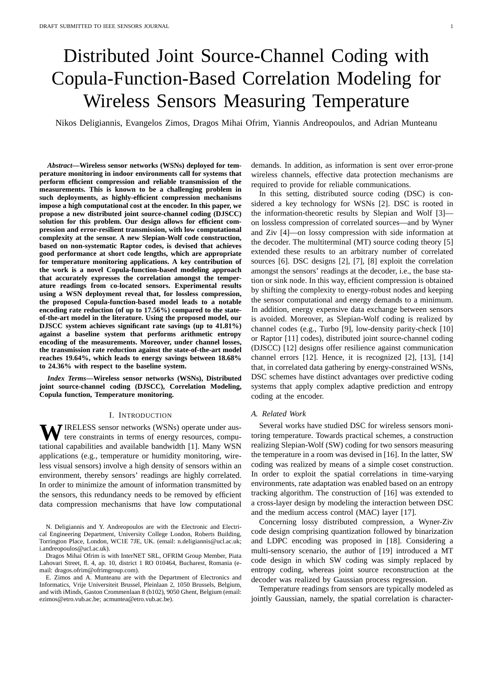# Distributed Joint Source-Channel Coding with Copula-Function-Based Correlation Modeling for Wireless Sensors Measuring Temperature

Nikos Deligiannis, Evangelos Zimos, Dragos Mihai Ofrim, Yiannis Andreopoulos, and Adrian Munteanu

*Abstract***—Wireless sensor networks (WSNs) deployed for temperature monitoring in indoor environments call for systems that perform efficient compression and reliable transmission of the measurements. This is known to be a challenging problem in such deployments, as highly-efficient compression mechanisms impose a high computational cost at the encoder. In this paper, we propose a new distributed joint source-channel coding (DJSCC) solution for this problem. Our design allows for efficient compression and error-resilient transmission, with low computational complexity at the sensor. A new Slepian-Wolf code construction, based on non-systematic Raptor codes, is devised that achieves good performance at short code lengths, which are appropriate for temperature monitoring applications. A key contribution of the work is a novel Copula-function-based modeling approach that accurately expresses the correlation amongst the temperature readings from co-located sensors. Experimental results using a WSN deployment reveal that, for lossless compression, the proposed Copula-function-based model leads to a notable encoding rate reduction (of up to 17.56%) compared to the stateof-the-art model in the literature. Using the proposed model, our DJSCC system achieves significant rate savings (up to 41.81%) against a baseline system that performs arithmetic entropy encoding of the measurements. Moreover, under channel losses, the transmission rate reduction against the state-of-the-art model reaches 19.64%, which leads to energy savings between 18.68% to 24.36% with respect to the baseline system.**

*Index Terms***—Wireless sensor networks (WSNs), Distributed joint source-channel coding (DJSCC), Correlation Modeling, Copula function, Temperature monitoring.**

#### I. INTRODUCTION

WIRELESS sensor networks (WSNs) operate under auster experiences terms of energy resources, computational capabilities and available bandwidth [1]. Many WSN applications (e.g., temperature or humidity monitoring, wireless visual sensors) involve a high density of sensors within an environment, thereby sensors' readings are highly correlated. In order to minimize the amount of information transmitted by the sensors, this redundancy needs to be removed by efficient data compression mechanisms that have low computational

Dragos Mihai Ofrim is with InterNET SRL, OFRIM Group Member, Piata Lahovari Street, fl. 4, ap. 10, district 1 RO 010464, Bucharest, Romania (email: dragos.ofrim@ofrimgroup.com).

E. Zimos and A. Munteanu are with the Department of Electronics and Informatics, Vrije Universiteit Brussel, Pleinlaan 2, 1050 Brussels, Belgium, and with iMinds, Gaston Crommenlaan 8 (b102), 9050 Ghent, Belgium (email: ezimos@etro.vub.ac.be; acmuntea@etro.vub.ac.be).

demands. In addition, as information is sent over error-prone wireless channels, effective data protection mechanisms are required to provide for reliable communications.

In this setting, distributed source coding (DSC) is considered a key technology for WSNs [2]. DSC is rooted in the information-theoretic results by Slepian and Wolf [3] on lossless compression of correlated sources—and by Wyner and Ziv [4]—on lossy compression with side information at the decoder. The multiterminal (MT) source coding theory [5] extended these results to an arbitrary number of correlated sources [6]. DSC designs [2], [7], [8] exploit the correlation amongst the sensors' readings at the decoder, i.e., the base station or sink node. In this way, efficient compression is obtained by shifting the complexity to energy-robust nodes and keeping the sensor computational and energy demands to a minimum. In addition, energy expensive data exchange between sensors is avoided. Moreover, as Slepian-Wolf coding is realized by channel codes (e.g., Turbo [9], low-density parity-check [10] or Raptor [11] codes), distributed joint source-channel coding (DJSCC) [12] designs offer resilience against communication channel errors [12]. Hence, it is recognized [2], [13], [14] that, in correlated data gathering by energy-constrained WSNs, DSC schemes have distinct advantages over predictive coding systems that apply complex adaptive prediction and entropy coding at the encoder.

## *A. Related Work*

Several works have studied DSC for wireless sensors monitoring temperature. Towards practical schemes, a construction realizing Slepian-Wolf (SW) coding for two sensors measuring the temperature in a room was devised in [16]. In the latter, SW coding was realized by means of a simple coset construction. In order to exploit the spatial correlations in time-varying environments, rate adaptation was enabled based on an entropy tracking algorithm. The construction of [16] was extended to a cross-layer design by modeling the interaction between DSC and the medium access control (MAC) layer [17].

Concerning lossy distributed compression, a Wyner-Ziv code design comprising quantization followed by binarization and LDPC encoding was proposed in [18]. Considering a multi-sensory scenario, the author of [19] introduced a MT code design in which SW coding was simply replaced by entropy coding, whereas joint source reconstruction at the decoder was realized by Gaussian process regression.

Temperature readings from sensors are typically modeled as jointly Gaussian, namely, the spatial correlation is character-

N. Deligiannis and Y. Andreopoulos are with the Electronic and Electrical Engineering Department, University College London, Roberts Building, Torrington Place, London, WC1E 7JE, UK. (email: n.deligiannis@ucl.ac.uk; i.andreopoulos@ucl.ac.uk).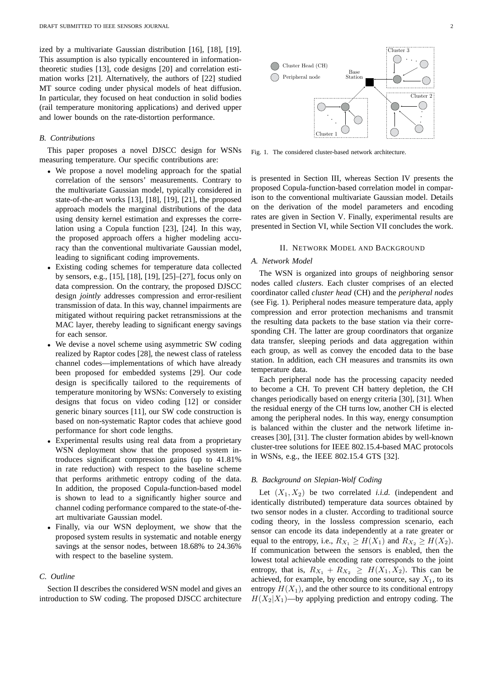ized by a multivariate Gaussian distribution [16], [18], [19]. This assumption is also typically encountered in informationtheoretic studies [13], code designs [20] and correlation estimation works [21]. Alternatively, the authors of [22] studied MT source coding under physical models of heat diffusion. In particular, they focused on heat conduction in solid bodies (rail temperature monitoring applications) and derived upper and lower bounds on the rate-distortion performance.

## *B. Contributions*

This paper proposes a novel DJSCC design for WSNs measuring temperature. Our specific contributions are:

- We propose a novel modeling approach for the spatial correlation of the sensors' measurements. Contrary to the multivariate Gaussian model, typically considered in state-of-the-art works [13], [18], [19], [21], the proposed approach models the marginal distributions of the data using density kernel estimation and expresses the correlation using a Copula function [23], [24]. In this way, the proposed approach offers a higher modeling accuracy than the conventional multivariate Gaussian model, leading to significant coding improvements.
- Existing coding schemes for temperature data collected by sensors, e.g., [15], [18], [19], [25]–[27], focus only on data compression. On the contrary, the proposed DJSCC design *jointly* addresses compression and error-resilient transmission of data. In this way, channel impairments are mitigated without requiring packet retransmissions at the MAC layer, thereby leading to significant energy savings for each sensor.
- We devise a novel scheme using asymmetric SW coding realized by Raptor codes [28], the newest class of rateless channel codes—implementations of which have already been proposed for embedded systems [29]. Our code design is specifically tailored to the requirements of temperature monitoring by WSNs: Conversely to existing designs that focus on video coding [12] or consider generic binary sources [11], our SW code construction is based on non-systematic Raptor codes that achieve good performance for short code lengths.
- Experimental results using real data from a proprietary WSN deployment show that the proposed system introduces significant compression gains (up to 41.81% in rate reduction) with respect to the baseline scheme that performs arithmetic entropy coding of the data. In addition, the proposed Copula-function-based model is shown to lead to a significantly higher source and channel coding performance compared to the state-of-theart multivariate Gaussian model.
- Finally, via our WSN deployment, we show that the proposed system results in systematic and notable energy savings at the sensor nodes, between 18.68% to 24.36% with respect to the baseline system.

# *C. Outline*

Section II describes the considered WSN model and gives an introduction to SW coding. The proposed DJSCC architecture



Fig. 1. The considered cluster-based network architecture.

is presented in Section III, whereas Section IV presents the proposed Copula-function-based correlation model in comparison to the conventional multivariate Gaussian model. Details on the derivation of the model parameters and encoding rates are given in Section V. Finally, experimental results are presented in Section VI, while Section VII concludes the work.

## II. NETWORK MODEL AND BACKGROUND

# *A. Network Model*

The WSN is organized into groups of neighboring sensor nodes called *clusters*. Each cluster comprises of an elected coordinator called *cluster head* (CH) and the *peripheral nodes* (see Fig. 1). Peripheral nodes measure temperature data, apply compression and error protection mechanisms and transmit the resulting data packets to the base station via their corresponding CH. The latter are group coordinators that organize data transfer, sleeping periods and data aggregation within each group, as well as convey the encoded data to the base station. In addition, each CH measures and transmits its own temperature data.

Each peripheral node has the processing capacity needed to become a CH. To prevent CH battery depletion, the CH changes periodically based on energy criteria [30], [31]. When the residual energy of the CH turns low, another CH is elected among the peripheral nodes. In this way, energy consumption is balanced within the cluster and the network lifetime increases [30], [31]. The cluster formation abides by well-known cluster-tree solutions for IEEE 802.15.4-based MAC protocols in WSNs, e.g., the IEEE 802.15.4 GTS [32].

# *B. Background on Slepian-Wolf Coding*

Let  $(X_1, X_2)$  be two correlated *i.i.d.* (independent and identically distributed) temperature data sources obtained by two sensor nodes in a cluster. According to traditional source coding theory, in the lossless compression scenario, each sensor can encode its data independently at a rate greater or equal to the entropy, i.e.,  $R_{X_1} \ge H(X_1)$  and  $R_{X_2} \ge H(X_2)$ . If communication between the sensors is enabled, then the lowest total achievable encoding rate corresponds to the joint entropy, that is,  $R_{X_1} + R_{X_2} \geq H(X_1, X_2)$ . This can be achieved, for example, by encoding one source, say  $X_1$ , to its entropy  $H(X_1)$ , and the other source to its conditional entropy  $H(X_2|X_1)$ —by applying prediction and entropy coding. The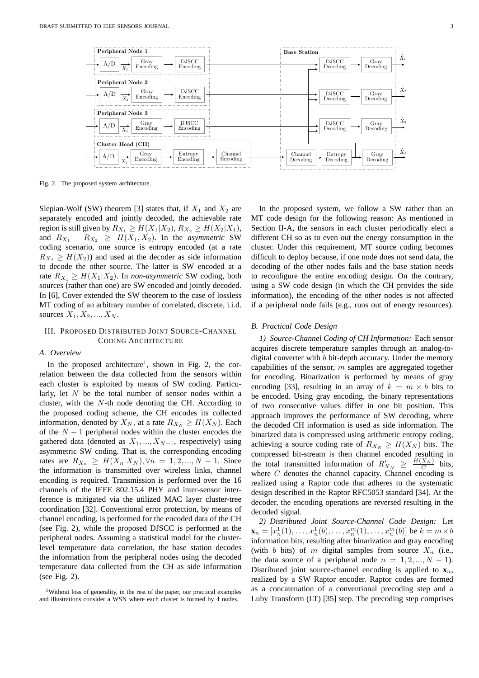

Fig. 2. The proposed system architecture.

Slepian-Wolf (SW) theorem [3] states that, if  $X_1$  and  $X_2$  are separately encoded and jointly decoded, the achievable rate region is still given by  $R_{X_1} \ge H(X_1|X_2), R_{X_2} \ge H(X_2|X_1)$ , and  $R_{X_1} + R_{X_2} \geq H(X_1, X_2)$ . In the *asymmetric* SW coding scenario, one source is entropy encoded (at a rate  $R_{X_2} \geq H(X_2)$  and used at the decoder as side information to decode the other source. The latter is SW encoded at a rate  $R_{X_1} \geq H(X_1 | X_2)$ . In *non-asymmetric* SW coding, both sources (rather than one) are SW encoded and jointly decoded. In [6], Cover extended the SW theorem to the case of lossless MT coding of an arbitrary number of correlated, discrete, i.i.d. sources  $X_1, X_2, ..., X_N$ .

## III. PROPOSED DISTRIBUTED JOINT SOURCE-CHANNEL CODING ARCHITECTURE

## *A. Overview*

In the proposed architecture<sup>1</sup>, shown in Fig. 2, the correlation between the data collected from the sensors within each cluster is exploited by means of SW coding. Particularly, let  $N$  be the total number of sensor nodes within a cluster, with the  $N$ -th node denoting the CH. According to the proposed coding scheme, the CH encodes its collected information, denoted by  $X_N$ , at a rate  $R_{X_N} \geq H(X_N)$ . Each of the  $N - 1$  peripheral nodes within the cluster encodes the gathered data (denoted as  $X_1, ..., X_{N-1}$ , respectively) using asymmetric SW coding. That is, the corresponding encoding rates are  $R_{X_n} \geq H(X_n | X_N), \forall n = 1, 2, ..., N - 1$ . Since the information is transmitted over wireless links, channel encoding is required. Transmission is performed over the 16 channels of the IEEE 802.15.4 PHY and inter-sensor interference is mitigated via the utilized MAC layer cluster-tree coordination [32]. Conventional error protection, by means of channel encoding, is performed for the encoded data of the CH (see Fig. 2), while the proposed DJSCC is performed at the peripheral nodes. Assuming a statistical model for the clusterlevel temperature data correlation, the base station decodes the information from the peripheral nodes using the decoded temperature data collected from the CH as side information (see Fig. 2).

In the proposed system, we follow a SW rather than an MT code design for the following reason: As mentioned in Section II-A, the sensors in each cluster periodically elect a different CH so as to even out the energy consumption in the cluster. Under this requirement, MT source coding becomes difficult to deploy because, if one node does not send data, the decoding of the other nodes fails and the base station needs to reconfigure the entire encoding design. On the contrary, using a SW code design (in which the CH provides the side information), the encoding of the other nodes is not affected if a peripheral node fails (e.g., runs out of energy resources).

## *B. Practical Code Design*

*1) Source-Channel Coding of CH Information:* Each sensor acquires discrete temperature samples through an analog-todigital converter with b bit-depth accuracy. Under the memory capabilities of the sensor,  $m$  samples are aggregated together for encoding. Binarization is performed by means of gray encoding [33], resulting in an array of  $k = m \times b$  bits to be encoded. Using gray encoding, the binary representations of two consecutive values differ in one bit position. This approach improves the performance of SW decoding, where the decoded CH information is used as side information. The binarized data is compressed using arithmetic entropy coding, achieving a source coding rate of  $R_{X_N} \geq H(X_N)$  bits. The compressed bit-stream is then channel encoded resulting in the total transmitted information of  $R'_{X_N} \geq \frac{H(X_N)}{C}$  bits, where C denotes the channel capacity. Channel encoding is realized using a Raptor code that adheres to the systematic design described in the Raptor RFC5053 standard [34]. At the decoder, the encoding operations are reversed resulting in the decoded signal.

*2) Distributed Joint Source-Channel Code Design:* Let  $\mathbf{x}_n = [x_n^1(1), \dots, x_n^1(b), \dots, x_n^m(1), \dots, x_n^m(b)]$  be  $k = m \times b$ information bits, resulting after binarization and gray encoding (with b bits) of m digital samples from source  $X_n$  (i.e., the data source of a peripheral node  $n = 1, 2, ..., N - 1$ . Distributed joint source-channel encoding is applied to  $\mathbf{x}_n$ , realized by a SW Raptor encoder. Raptor codes are formed as a concatenation of a conventional precoding step and a Luby Transform (LT) [35] step. The precoding step comprises

<sup>&</sup>lt;sup>1</sup>Without loss of generality, in the rest of the paper, our practical examples and illustrations consider a WSN where each cluster is formed by 4 nodes.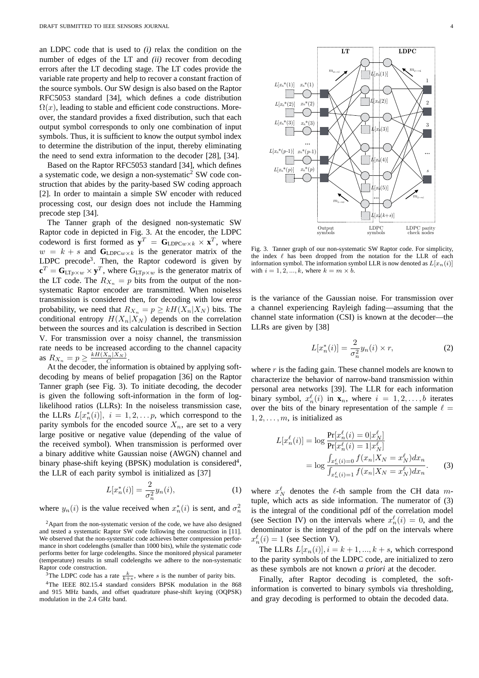an LDPC code that is used to *(i)* relax the condition on the number of edges of the LT and *(ii)* recover from decoding errors after the LT decoding stage. The LT codes provide the variable rate property and help to recover a constant fraction of the source symbols. Our SW design is also based on the Raptor RFC5053 standard [34], which defines a code distribution  $\Omega(x)$ , leading to stable and efficient code constructions. Moreover, the standard provides a fixed distribution, such that each output symbol corresponds to only one combination of input symbols. Thus, it is sufficient to know the output symbol index to determine the distribution of the input, thereby eliminating the need to send extra information to the decoder [28], [34].

Based on the Raptor RFC5053 standard [34], which defines a systematic code, we design a non-systematic<sup>2</sup> SW code construction that abides by the parity-based SW coding approach [2]. In order to maintain a simple SW encoder with reduced processing cost, our design does not include the Hamming precode step [34].

The Tanner graph of the designed non-systematic SW Raptor code in depicted in Fig. 3. At the encoder, the LDPC codeword is first formed as  $y^T = G_{LDPCw \times k} \times x^T$ , where  $w = k + s$  and  $\mathbf{G}_{\text{LDPCw}\times k}$  is the generator matrix of the LDPC precode<sup>3</sup>. Then, the Raptor codeword is given by  ${\bf c}^T = {\bf G}_{\text{LT}p \times w} \times {\bf y}^T$ , where  ${\bf G}_{\text{LT}p \times w}$  is the generator matrix of the LT code. The  $R_{X_n} = p$  bits from the output of the nonsystematic Raptor encoder are transmitted. When noiseless transmission is considered then, for decoding with low error probability, we need that  $R_{X_n} = p \geq k H(X_n | X_N)$  bits. The conditional entropy  $H(X_n|X_N)$  depends on the correlation between the sources and its calculation is described in Section V. For transmission over a noisy channel, the transmission rate needs to be increased according to the channel capacity as  $R_{X_n} = p \geq \frac{kH(X_n|X_N)}{C}$ .

At the decoder, the information is obtained by applying softdecoding by means of belief propagation [36] on the Raptor Tanner graph (see Fig. 3). To initiate decoding, the decoder is given the following soft-information in the form of loglikelihood ratios (LLRs): In the noiseless transmission case, the LLRs  $L[x_n^*(i)]$ ,  $i = 1, 2, \dots p$ , which correspond to the parity symbols for the encoded source  $X_n$ , are set to a very large positive or negative value (depending of the value of the received symbol). When transmission is performed over a binary additive white Gaussian noise (AWGN) channel and binary phase-shift keying (BPSK) modulation is considered<sup>4</sup>, the LLR of each parity symbol is initialized as [37]

$$
L[x_n^*(i)] = \frac{2}{\sigma_n^2} y_n(i),
$$
 (1)

where  $y_n(i)$  is the value received when  $x_n^*(i)$  is sent, and  $\sigma_n^2$ 

<sup>2</sup>Apart from the non-systematic version of the code, we have also designed and tested a systematic Raptor SW code following the construction in [11]. We observed that the non-systematic code achieves better compression performance in short codelengths (smaller than 1000 bits), while the systematic code performs better for large codelengths. Since the monitored physical parameter (temperature) results in small codelengths we adhere to the non-systematic Raptor code construction.

<sup>3</sup>The LDPC code has a rate  $\frac{k}{k+s}$ , where s is the number of parity bits.

<sup>4</sup>The IEEE 802.15.4 standard considers BPSK modulation in the 868 and 915 MHz bands, and offset quadrature phase-shift keying (OQPSK) modulation in the 2.4 GHz band.



Fig. 3. Tanner graph of our non-systematic SW Raptor code. For simplicity, the index  $\ell$  has been dropped from the notation for the LLR of each information symbol. The information symbol LLR is now denoted as  $L[x_n(i)]$ with  $i = 1, 2, ..., k$ , where  $k = m \times b$ .

is the variance of the Gaussian noise. For transmission over a channel experiencing Rayleigh fading—assuming that the channel state information (CSI) is known at the decoder—the LLRs are given by [38]

$$
L[x_n^*(i)] = \frac{2}{\sigma_n^2} y_n(i) \times r,
$$
\n(2)

where  $r$  is the fading gain. These channel models are known to characterize the behavior of narrow-band transmission within personal area networks [39]. The LLR for each information binary symbol,  $x_n^{\ell}(i)$  in  $\mathbf{x}_n$ , where  $i = 1, 2, ..., b$  iterates over the bits of the binary representation of the sample  $\ell =$  $1, 2, \ldots, m$ , is initialized as

$$
L[x_n^{\ell}(i)] = \log \frac{\Pr[x_n^{\ell}(i) = 0 | x_N^{\ell}]}{\Pr[x_n^{\ell}(i) = 1 | x_N^{\ell}]} \\
= \log \frac{\int_{x_n^{\ell}(i) = 0} f(x_n | X_N = x_N^{\ell}) dx_n}{\int_{x_n^{\ell}(i) = 1} f(x_n | X_N = x_N^{\ell}) dx_n}.
$$
 (3)

where  $x_N^{\ell}$  denotes the  $\ell$ -th sample from the CH data mtuple, which acts as side information. The numerator of (3) is the integral of the conditional pdf of the correlation model (see Section IV) on the intervals where  $x_n^{\ell}(i) = 0$ , and the denominator is the integral of the pdf on the intervals where  $x_n^{\ell}(i) = 1$  (see Section V).

The LLRs  $L[x_n(i)], i = k+1, ..., k+s$ , which correspond to the parity symbols of the LDPC code, are initialized to zero as these symbols are not known *a priori* at the decoder.

Finally, after Raptor decoding is completed, the softinformation is converted to binary symbols via thresholding, and gray decoding is performed to obtain the decoded data.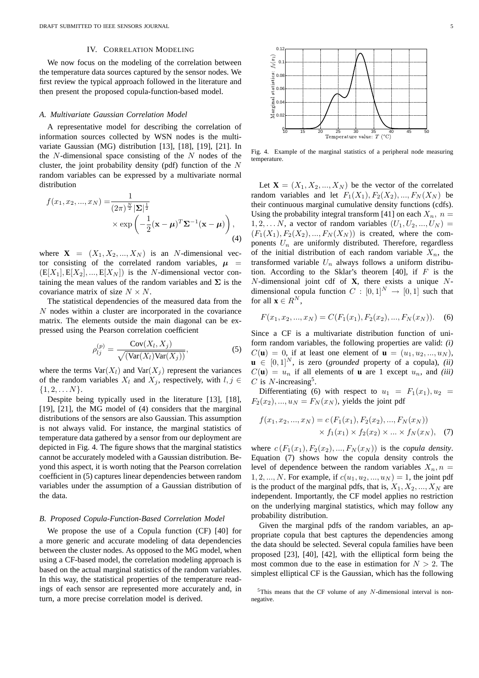## IV. CORRELATION MODELING

We now focus on the modeling of the correlation between the temperature data sources captured by the sensor nodes. We first review the typical approach followed in the literature and then present the proposed copula-function-based model.

#### *A. Multivariate Gaussian Correlation Model*

A representative model for describing the correlation of information sources collected by WSN nodes is the multivariate Gaussian (MG) distribution [13], [18], [19], [21]. In the  $N$ -dimensional space consisting of the  $N$  nodes of the cluster, the joint probability density (pdf) function of the N random variables can be expressed by a multivariate normal distribution

$$
f(x_1, x_2, ..., x_N) = \frac{1}{(2\pi)^{\frac{N}{2}} |\mathbf{\Sigma}|^{\frac{1}{2}}} \times \exp\left(-\frac{1}{2}(\mathbf{x} - \boldsymbol{\mu})^T \mathbf{\Sigma}^{-1}(\mathbf{x} - \boldsymbol{\mu})\right),
$$
\n(4)

where  $X = (X_1, X_2, ..., X_N)$  is an N-dimensional vector consisting of the correlated random variables,  $\mu$  =  $(E[X_1], E[X_2], ..., E[X_N])$  is the *N*-dimensional vector containing the mean values of the random variables and  $\Sigma$  is the covariance matrix of size  $N \times N$ .

The statistical dependencies of the measured data from the  $N$  nodes within a cluster are incorporated in the covariance matrix. The elements outside the main diagonal can be expressed using the Pearson correlation coefficient

$$
\rho_{lj}^{(p)} = \frac{\text{Cov}(X_l, X_j)}{\sqrt{(\text{Var}(X_l)\text{Var}(X_j))}},\tag{5}
$$

where the terms  $\text{Var}(X_l)$  and  $\text{Var}(X_j)$  represent the variances of the random variables  $X_l$  and  $X_j$ , respectively, with  $l, j \in$  $\{1, 2, \ldots N\}.$ 

Despite being typically used in the literature [13], [18], [19], [21], the MG model of (4) considers that the marginal distributions of the sensors are also Gaussian. This assumption is not always valid. For instance, the marginal statistics of temperature data gathered by a sensor from our deployment are depicted in Fig. 4. The figure shows that the marginal statistics cannot be accurately modeled with a Gaussian distribution. Beyond this aspect, it is worth noting that the Pearson correlation coefficient in (5) captures linear dependencies between random variables under the assumption of a Gaussian distribution of the data.

#### *B. Proposed Copula-Function-Based Correlation Model*

We propose the use of a Copula function (CF) [40] for a more generic and accurate modeling of data dependencies between the cluster nodes. As opposed to the MG model, when using a CF-based model, the correlation modeling approach is based on the actual marginal statistics of the random variables. In this way, the statistical properties of the temperature readings of each sensor are represented more accurately and, in turn, a more precise correlation model is derived.



Fig. 4. Example of the marginal statistics of a peripheral node measuring temperature.

Let  $X = (X_1, X_2, ..., X_N)$  be the vector of the correlated random variables and let  $F_1(X_1), F_2(X_2), ..., F_N(X_N)$  be their continuous marginal cumulative density functions (cdfs). Using the probability integral transform [41] on each  $X_n$ ,  $n =$  $1, 2, \ldots N$ , a vector of random variables  $(U_1, U_2, \ldots, U_N)$  =  $(F_1(X_1), F_2(X_2), ..., F_N(X_N))$  is created, where the components  $U_n$  are uniformly distributed. Therefore, regardless of the initial distribution of each random variable  $X_n$ , the transformed variable  $U_n$  always follows a uniform distribution. According to the Sklar's theorem [40], if  $F$  is the N-dimensional joint cdf of **X**, there exists a unique Ndimensional copula function  $C : [0,1]^N \rightarrow [0,1]$  such that for all  $\mathbf{x} \in R^N$ ,

$$
F(x_1, x_2, ..., x_N) = C(F_1(x_1), F_2(x_2), ..., F_N(x_N)).
$$
 (6)

Since a CF is a multivariate distribution function of uniform random variables, the following properties are valid: *(i)*  $C(\mathbf{u}) = 0$ , if at least one element of  $\mathbf{u} = (u_1, u_2, ..., u_N)$ ,  $\mathbf{u} \in [0, 1]^N$ , is zero (*grounded* property of a copula), *(ii)*  $C(\mathbf{u}) = u_n$  if all elements of **u** are 1 except  $u_n$ , and *(iii)* C is  $N$ -increasing<sup>5</sup>.

Differentiating (6) with respect to  $u_1 = F_1(x_1), u_2 =$  $F_2(x_2),..., u_N = F_N(x_N)$ , yields the joint pdf

$$
f(x_1, x_2, ..., x_N) = c(F_1(x_1), F_2(x_2), ..., F_N(x_N))
$$
  
 
$$
\times f_1(x_1) \times f_2(x_2) \times ... \times f_N(x_N),
$$
 (7)

where  $c(F_1(x_1), F_2(x_2), ..., F_N(x_N))$  is the *copula density*. Equation (7) shows how the copula density controls the level of dependence between the random variables  $X_n$ ,  $n =$ 1, 2, ..., N. For example, if  $c(u_1, u_2, ..., u_N) = 1$ , the joint pdf is the product of the marginal pdfs, that is,  $X_1, X_2, ..., X_N$  are independent. Importantly, the CF model applies no restriction on the underlying marginal statistics, which may follow any probability distribution.

Given the marginal pdfs of the random variables, an appropriate copula that best captures the dependencies among the data should be selected. Several copula families have been proposed [23], [40], [42], with the elliptical form being the most common due to the ease in estimation for  $N > 2$ . The simplest elliptical CF is the Gaussian, which has the following

 $5$ This means that the CF volume of any N-dimensional interval is nonnegative.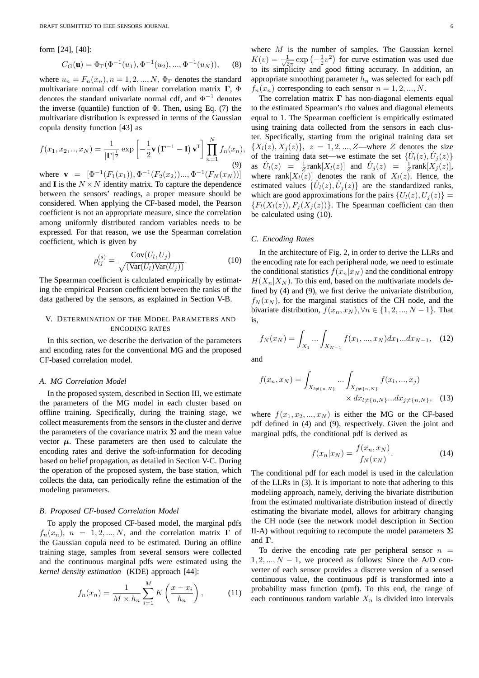form [24], [40]:

$$
C_G(\mathbf{u}) = \Phi_{\Gamma}(\Phi^{-1}(u_1), \Phi^{-1}(u_2), ..., \Phi^{-1}(u_N)), \quad (8)
$$

where  $u_n = F_n(x_n)$ ,  $n = 1, 2, ..., N$ ,  $\Phi_{\Gamma}$  denotes the standard multivariate normal cdf with linear correlation matrix Γ, Φ denotes the standard univariate normal cdf, and  $\Phi^{-1}$  denotes the inverse (quantile) function of  $\Phi$ . Then, using Eq. (7) the multivariate distribution is expressed in terms of the Gaussian copula density function [43] as

$$
f(x_1, x_2, \ldots, x_N) = \frac{1}{|\mathbf{\Gamma}|^{\frac{1}{2}}} \exp\left[-\frac{1}{2}\mathbf{v}\left(\mathbf{\Gamma}^{-1} - \mathbf{I}\right)\mathbf{v}^{\mathbf{T}}\right] \prod_{n=1}^{N} f_n(x_n),\tag{9}
$$

where **v** =  $[\Phi^{-1}(F_1(x_1)), \Phi^{-1}(F_2(x_2))..., \Phi^{-1}(F_N(x_N))]$ and **I** is the  $N \times N$  identity matrix. To capture the dependence between the sensors' readings, a proper measure should be considered. When applying the CF-based model, the Pearson coefficient is not an appropriate measure, since the correlation among uniformly distributed random variables needs to be expressed. For that reason, we use the Spearman correlation coefficient, which is given by

$$
\rho_{lj}^{(s)} = \frac{\text{Cov}(U_l, U_j)}{\sqrt{(\text{Var}(U_l)\text{Var}(U_j))}}.
$$
\n(10)

The Spearman coefficient is calculated empirically by estimating the empirical Pearson coefficient between the ranks of the data gathered by the sensors, as explained in Section V-B.

## V. DETERMINATION OF THE MODEL PARAMETERS AND ENCODING RATES

In this section, we describe the derivation of the parameters and encoding rates for the conventional MG and the proposed CF-based correlation model.

#### *A. MG Correlation Model*

In the proposed system, described in Section III, we estimate the parameters of the MG model in each cluster based on offline training. Specifically, during the training stage, we collect measurements from the sensors in the cluster and derive the parameters of the covariance matrix  $\Sigma$  and the mean value vector  $\mu$ . These parameters are then used to calculate the encoding rates and derive the soft-information for decoding based on belief propagation, as detailed in Section V-C. During the operation of the proposed system, the base station, which collects the data, can periodically refine the estimation of the modeling parameters.

## *B. Proposed CF-based Correlation Model*

To apply the proposed CF-based model, the marginal pdfs  $f_n(x_n)$ ,  $n = 1, 2, ..., N$ , and the correlation matrix  $\Gamma$  of the Gaussian copula need to be estimated. During an offline training stage, samples from several sensors were collected and the continuous marginal pdfs were estimated using the *kernel density estimation* (KDE) approach [44]:

$$
f_n(x_n) = \frac{1}{M \times h_n} \sum_{i=1}^{M} K\left(\frac{x - x_i}{h_n}\right),\tag{11}
$$

where  $M$  is the number of samples. The Gaussian kernel  $K(v) = \frac{1}{\sqrt{2\pi}} \exp\left(-\frac{1}{2}v^2\right)$  for curve estimation was used due to its simplicity and good fitting accuracy. In addition, an appropriate smoothing parameter  $h_n$  was selected for each pdf  $f_n(x_n)$  corresponding to each sensor  $n = 1, 2, ..., N$ .

The correlation matrix  $\Gamma$  has non-diagonal elements equal to the estimated Spearman's rho values and diagonal elements equal to 1. The Spearman coefficient is empirically estimated using training data collected from the sensors in each cluster. Specifically, starting from the original training data set  $\{X_1(z), X_2(z)\}\$ ,  $z = 1, 2, ..., Z$ —where Z denotes the size of the training data set—we estimate the set  $\{\hat{U}_l(z), \hat{U}_j(z)\}$ as  $\hat{U}_l(z) = \frac{1}{Z} \text{rank}[X_l(z)]$  and  $\hat{U}_j(z) = \frac{1}{Z} \text{rank}[X_j(z)]$ , where rank $[X_l(z)]$  denotes the rank of  $X_l(z)$ . Hence, the estimated values  $\{\hat{U}_l(z), \hat{U}_j(z)\}\$  are the standardized ranks, which are good approximations for the pairs  $\{U_l(z), U_i(z)\} =$  ${F_l(X_l(z)), F_j(X_j(z))}.$  The Spearman coefficient can then be calculated using (10).

## *C. Encoding Rates*

In the architecture of Fig. 2, in order to derive the LLRs and the encoding rate for each peripheral node, we need to estimate the conditional statistics  $f(x_n|x_N)$  and the conditional entropy  $H(X_n|X_N)$ . To this end, based on the multivariate models defined by (4) and (9), we first derive the univariate distribution,  $f_N(x_N)$ , for the marginal statistics of the CH node, and the bivariate distribution,  $f(x_n, x_N)$ ,  $\forall n \in \{1, 2, ..., N-1\}$ . That is,

$$
f_N(x_N) = \int_{X_1} \dots \int_{X_{N-1}} f(x_1, \dots, x_N) dx_1 \dots dx_{N-1}, \quad (12)
$$

and

$$
f(x_n, x_N) = \int_{X_{l \neq \{n, N\}}} \dots \int_{X_{j \neq \{n, N\}}} f(x_l, ..., x_j) \times dx_{l \neq \{n, N\}} ... dx_{j \neq \{n, N\}}, \quad (13)
$$

where  $f(x_1, x_2, ..., x_N)$  is either the MG or the CF-based pdf defined in (4) and (9), respectively. Given the joint and marginal pdfs, the conditional pdf is derived as

$$
f(x_n|x_N) = \frac{f(x_n, x_N)}{f_N(x_N)}.
$$
\n(14)

The conditional pdf for each model is used in the calculation of the LLRs in (3). It is important to note that adhering to this modeling approach, namely, deriving the bivariate distribution from the estimated multivariate distribution instead of directly estimating the bivariate model, allows for arbitrary changing the CH node (see the network model description in Section II-A) without requiring to recompute the model parameters  $\Sigma$ and Γ.

To derive the encoding rate per peripheral sensor  $n =$  $1, 2, ..., N - 1$ , we proceed as follows: Since the A/D converter of each sensor provides a discrete version of a sensed continuous value, the continuous pdf is transformed into a probability mass function (pmf). To this end, the range of each continuous random variable  $X_n$  is divided into intervals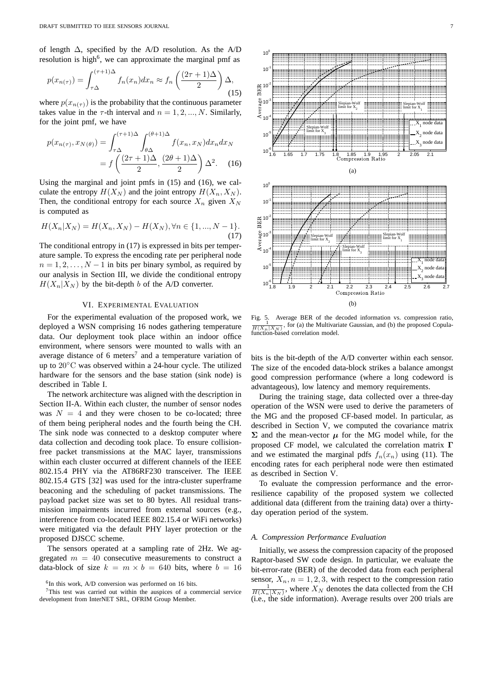of length  $\Delta$ , specified by the A/D resolution. As the A/D resolution is high<sup>6</sup>, we can approximate the marginal pmf as

$$
p(x_{n(\tau)}) = \int_{\tau\Delta}^{(\tau+1)\Delta} f_n(x_n) dx_n \approx f_n\left(\frac{(2\tau+1)\Delta}{2}\right)\Delta,
$$
\n(15)

where  $p(x_{n(\tau)})$  is the probability that the continuous parameter takes value in the  $\tau$ -th interval and  $n = 1, 2, ..., N$ . Similarly, for the joint pmf, we have

$$
p(x_{n(\tau)}, x_{N(\theta)}) = \int_{\tau\Delta}^{(\tau+1)\Delta} \int_{\theta\Delta}^{(\theta+1)\Delta} f(x_n, x_N) dx_n dx_N
$$

$$
= f\left(\frac{(2\tau+1)\Delta}{2}, \frac{(2\theta+1)\Delta}{2}\right) \Delta^2. \quad (16)
$$

Using the marginal and joint pmfs in (15) and (16), we calculate the entropy  $H(X_N)$  and the joint entropy  $H(X_n, X_N)$ . Then, the conditional entropy for each source  $X_n$  given  $X_N$ is computed as

$$
H(X_n|X_N) = H(X_n, X_N) - H(X_N), \forall n \in \{1, ..., N - 1\}.
$$
\n(17)

The conditional entropy in (17) is expressed in bits per temperature sample. To express the encoding rate per peripheral node  $n = 1, 2, \ldots, N - 1$  in bits per binary symbol, as required by our analysis in Section III, we divide the conditional entropy  $H(X_n|X_N)$  by the bit-depth b of the A/D converter.

## VI. EXPERIMENTAL EVALUATION

For the experimental evaluation of the proposed work, we deployed a WSN comprising 16 nodes gathering temperature data. Our deployment took place within an indoor office environment, where sensors were mounted to walls with an average distance of 6 meters<sup>7</sup> and a temperature variation of up to 20◦C was observed within a 24-hour cycle. The utilized hardware for the sensors and the base station (sink node) is described in Table I.

The network architecture was aligned with the description in Section II-A. Within each cluster, the number of sensor nodes was  $N = 4$  and they were chosen to be co-located; three of them being peripheral nodes and the fourth being the CH. The sink node was connected to a desktop computer where data collection and decoding took place. To ensure collisionfree packet transmissions at the MAC layer, transmissions within each cluster occurred at different channels of the IEEE 802.15.4 PHY via the AT86RF230 transceiver. The IEEE 802.15.4 GTS [32] was used for the intra-cluster superframe beaconing and the scheduling of packet transmissions. The payload packet size was set to 80 bytes. All residual transmission impairments incurred from external sources (e.g., interference from co-located IEEE 802.15.4 or WiFi networks) were mitigated via the default PHY layer protection or the proposed DJSCC scheme.

The sensors operated at a sampling rate of 2Hz. We aggregated  $m = 40$  consecutive measurements to construct a data-block of size  $k = m \times b = 640$  bits, where  $b = 16$ 



 $10<sup>0</sup>$ 

Fig. 5. Average BER of the decoded information vs. compression ratio,  $\frac{1}{H(X_n|X_N)}$ , for (a) the Multivariate Gaussian, and (b) the proposed Copulafunction-based correlation model.

bits is the bit-depth of the A/D converter within each sensor. The size of the encoded data-block strikes a balance amongst good compression performance (where a long codeword is advantageous), low latency and memory requirements.

During the training stage, data collected over a three-day operation of the WSN were used to derive the parameters of the MG and the proposed CF-based model. In particular, as described in Section V, we computed the covariance matrix  $\Sigma$  and the mean-vector  $\mu$  for the MG model while, for the proposed CF model, we calculated the correlation matrix Γ and we estimated the marginal pdfs  $f_n(x_n)$  using (11). The encoding rates for each peripheral node were then estimated as described in Section V.

To evaluate the compression performance and the errorresilience capability of the proposed system we collected additional data (different from the training data) over a thirtyday operation period of the system.

#### *A. Compression Performance Evaluation*

Initially, we assess the compression capacity of the proposed Raptor-based SW code design. In particular, we evaluate the bit-error-rate (BER) of the decoded data from each peripheral sensor,  $X_n$ ,  $n = 1, 2, 3$ , with respect to the compression ratio  $\frac{1}{H(X_n|X_N)}$ , where  $X_N$  denotes the data collected from the CH (i.e., the side information). Average results over 200 trials are

<sup>&</sup>lt;sup>6</sup>In this work, A/D conversion was performed on 16 bits.

<sup>7</sup>This test was carried out within the auspices of a commercial service development from InterNET SRL, OFRIM Group Member.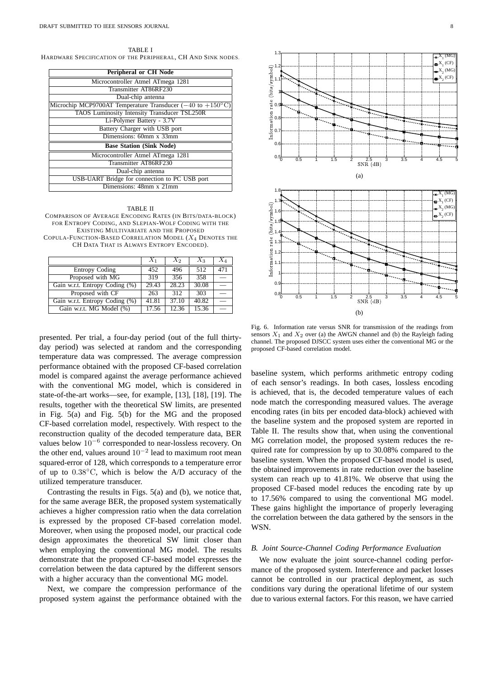TABLE I HARDWARE SPECIFICATION OF THE PERIPHERAL, CH AND SINK NODES.

| <b>Peripheral or CH Node</b>                                                         |  |  |  |  |
|--------------------------------------------------------------------------------------|--|--|--|--|
| Microcontroller Atmel ATmega 1281                                                    |  |  |  |  |
| Transmitter AT86RF230                                                                |  |  |  |  |
| Dual-chip antenna                                                                    |  |  |  |  |
| Microchip MCP9700AT Temperature Transducer $(-40 \text{ to } +150^{\circ} \text{C})$ |  |  |  |  |
| TAOS Luminosity Intensity Transducer TSL250R                                         |  |  |  |  |
| Li-Polymer Battery - 3.7V                                                            |  |  |  |  |
| Battery Charger with USB port                                                        |  |  |  |  |
| Dimensions: 60mm x 33mm                                                              |  |  |  |  |
| <b>Base Station (Sink Node)</b>                                                      |  |  |  |  |
| Microcontroller Atmel ATmega 1281                                                    |  |  |  |  |
| Transmitter AT86RF230                                                                |  |  |  |  |
| Dual-chip antenna                                                                    |  |  |  |  |
| USB-UART Bridge for connection to PC USB port                                        |  |  |  |  |
| Dimensions: 48mm x 21mm                                                              |  |  |  |  |
|                                                                                      |  |  |  |  |

#### TABLE II

COMPARISON OF AVERAGE ENCODING RATES (IN BITS/DATA-BLOCK) FOR ENTROPY CODING, AND SLEPIAN-WOLF CODING WITH THE EXISTING MULTIVARIATE AND THE PROPOSED COPULA-FUNCTION-BASED CORRELATION MODEL (X<sup>4</sup> DENOTES THE

CH DATA THAT IS ALWAYS ENTROPY ENCODED).

|                                | $X_1$ | $X_2$ | $X_3$ |     |
|--------------------------------|-------|-------|-------|-----|
| <b>Entropy Coding</b>          | 452   | 496   | 512   | 471 |
| Proposed with MG               | 319   | 356   | 358   |     |
| Gain w.r.t. Entropy Coding (%) | 29.43 | 28.23 | 30.08 |     |
| Proposed with CF               | 263   | 312   | 303   |     |
| Gain w.r.t. Entropy Coding (%) | 41.81 | 37.10 | 40.82 |     |
| Gain w.r.t. MG Model (%)       | 17.56 | 12.36 | 15.36 |     |

presented. Per trial, a four-day period (out of the full thirtyday period) was selected at random and the corresponding temperature data was compressed. The average compression performance obtained with the proposed CF-based correlation model is compared against the average performance achieved with the conventional MG model, which is considered in state-of-the-art works—see, for example, [13], [18], [19]. The results, together with the theoretical SW limits, are presented in Fig. 5(a) and Fig. 5(b) for the MG and the proposed CF-based correlation model, respectively. With respect to the reconstruction quality of the decoded temperature data, BER values below 10−<sup>6</sup> corresponded to near-lossless recovery. On the other end, values around 10−<sup>2</sup> lead to maximum root mean squared-error of 128, which corresponds to a temperature error of up to  $0.38\textdegree C$ , which is below the A/D accuracy of the utilized temperature transducer.

Contrasting the results in Figs. 5(a) and (b), we notice that, for the same average BER, the proposed system systematically achieves a higher compression ratio when the data correlation is expressed by the proposed CF-based correlation model. Moreover, when using the proposed model, our practical code design approximates the theoretical SW limit closer than when employing the conventional MG model. The results demonstrate that the proposed CF-based model expresses the correlation between the data captured by the different sensors with a higher accuracy than the conventional MG model.

Next, we compare the compression performance of the proposed system against the performance obtained with the



Fig. 6. Information rate versus SNR for transmission of the readings from sensors  $X_1$  and  $X_2$  over (a) the AWGN channel and (b) the Rayleigh fading channel. The proposed DJSCC system uses either the conventional MG or the proposed CF-based correlation model.

baseline system, which performs arithmetic entropy coding of each sensor's readings. In both cases, lossless encoding is achieved, that is, the decoded temperature values of each node match the corresponding measured values. The average encoding rates (in bits per encoded data-block) achieved with the baseline system and the proposed system are reported in Table II. The results show that, when using the conventional MG correlation model, the proposed system reduces the required rate for compression by up to 30.08% compared to the baseline system. When the proposed CF-based model is used, the obtained improvements in rate reduction over the baseline system can reach up to 41.81%. We observe that using the proposed CF-based model reduces the encoding rate by up to 17.56% compared to using the conventional MG model. These gains highlight the importance of properly leveraging the correlation between the data gathered by the sensors in the WSN.

#### *B. Joint Source-Channel Coding Performance Evaluation*

We now evaluate the joint source-channel coding performance of the proposed system. Interference and packet losses cannot be controlled in our practical deployment, as such conditions vary during the operational lifetime of our system due to various external factors. For this reason, we have carried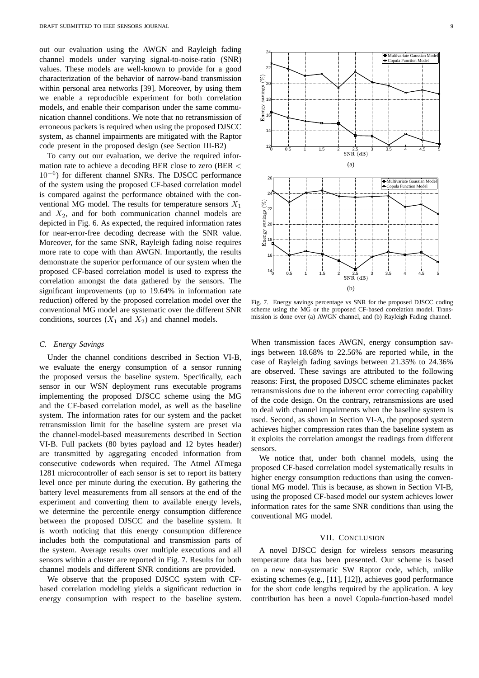out our evaluation using the AWGN and Rayleigh fading channel models under varying signal-to-noise-ratio (SNR) values. These models are well-known to provide for a good characterization of the behavior of narrow-band transmission within personal area networks [39]. Moreover, by using them we enable a reproducible experiment for both correlation models, and enable their comparison under the same communication channel conditions. We note that no retransmission of erroneous packets is required when using the proposed DJSCC system, as channel impairments are mitigated with the Raptor code present in the proposed design (see Section III-B2)

To carry out our evaluation, we derive the required information rate to achieve a decoding BER close to zero (BER < 10−6) for different channel SNRs. The DJSCC performance of the system using the proposed CF-based correlation model is compared against the performance obtained with the conventional MG model. The results for temperature sensors  $X_1$ and  $X_2$ , and for both communication channel models are depicted in Fig. 6. As expected, the required information rates for near-error-free decoding decrease with the SNR value. Moreover, for the same SNR, Rayleigh fading noise requires more rate to cope with than AWGN. Importantly, the results demonstrate the superior performance of our system when the proposed CF-based correlation model is used to express the correlation amongst the data gathered by the sensors. The significant improvements (up to 19.64% in information rate reduction) offered by the proposed correlation model over the conventional MG model are systematic over the different SNR conditions, sources  $(X_1 \text{ and } X_2)$  and channel models.

#### *C. Energy Savings*

Under the channel conditions described in Section VI-B, we evaluate the energy consumption of a sensor running the proposed versus the baseline system. Specifically, each sensor in our WSN deployment runs executable programs implementing the proposed DJSCC scheme using the MG and the CF-based correlation model, as well as the baseline system. The information rates for our system and the packet retransmission limit for the baseline system are preset via the channel-model-based measurements described in Section VI-B. Full packets (80 bytes payload and 12 bytes header) are transmitted by aggregating encoded information from consecutive codewords when required. The Atmel ATmega 1281 microcontroller of each sensor is set to report its battery level once per minute during the execution. By gathering the battery level measurements from all sensors at the end of the experiment and converting them to available energy levels, we determine the percentile energy consumption difference between the proposed DJSCC and the baseline system. It is worth noticing that this energy consumption difference includes both the computational and transmission parts of the system. Average results over multiple executions and all sensors within a cluster are reported in Fig. 7. Results for both channel models and different SNR conditions are provided.

We observe that the proposed DJSCC system with CFbased correlation modeling yields a significant reduction in energy consumption with respect to the baseline system.



Fig. 7. Energy savings percentage vs SNR for the proposed DJSCC coding scheme using the MG or the proposed CF-based correlation model. Transmission is done over (a) AWGN channel, and (b) Rayleigh Fading channel.

When transmission faces AWGN, energy consumption savings between 18.68% to 22.56% are reported while, in the case of Rayleigh fading savings between 21.35% to 24.36% are observed. These savings are attributed to the following reasons: First, the proposed DJSCC scheme eliminates packet retransmissions due to the inherent error correcting capability of the code design. On the contrary, retransmissions are used to deal with channel impairments when the baseline system is used. Second, as shown in Section VI-A, the proposed system achieves higher compression rates than the baseline system as it exploits the correlation amongst the readings from different sensors.

We notice that, under both channel models, using the proposed CF-based correlation model systematically results in higher energy consumption reductions than using the conventional MG model. This is because, as shown in Section VI-B, using the proposed CF-based model our system achieves lower information rates for the same SNR conditions than using the conventional MG model.

### VII. CONCLUSION

A novel DJSCC design for wireless sensors measuring temperature data has been presented. Our scheme is based on a new non-systematic SW Raptor code, which, unlike existing schemes (e.g., [11], [12]), achieves good performance for the short code lengths required by the application. A key contribution has been a novel Copula-function-based model